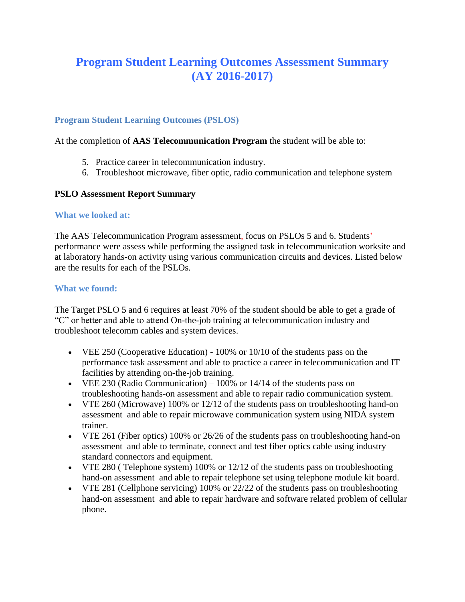# **Program Student Learning Outcomes Assessment Summary (AY 2016-2017)**

## **Program Student Learning Outcomes (PSLOS)**

At the completion of **AAS Telecommunication Program** the student will be able to:

- 5. Practice career in telecommunication industry.
- 6. Troubleshoot microwave, fiber optic, radio communication and telephone system

### **PSLO Assessment Report Summary**

### **What we looked at:**

The AAS Telecommunication Program assessment, focus on PSLOs 5 and 6. Students' performance were assess while performing the assigned task in telecommunication worksite and at laboratory hands-on activity using various communication circuits and devices. Listed below are the results for each of the PSLOs.

### **What we found:**

The Target PSLO 5 and 6 requires at least 70% of the student should be able to get a grade of "C" or better and able to attend On-the-job training at telecommunication industry and troubleshoot telecomm cables and system devices.

- VEE 250 (Cooperative Education) 100% or 10/10 of the students pass on the performance task assessment and able to practice a career in telecommunication and IT facilities by attending on-the-job training.
- VEE 230 (Radio Communication) 100% or 14/14 of the students pass on troubleshooting hands-on assessment and able to repair radio communication system.
- VTE 260 (Microwave) 100% or 12/12 of the students pass on troubleshooting hand-on assessment and able to repair microwave communication system using NIDA system trainer.
- VTE 261 (Fiber optics) 100% or 26/26 of the students pass on troubleshooting hand-on assessment and able to terminate, connect and test fiber optics cable using industry standard connectors and equipment.
- VTE 280 ( Telephone system) 100% or 12/12 of the students pass on troubleshooting hand-on assessment and able to repair telephone set using telephone module kit board.
- VTE 281 (Cellphone servicing) 100% or 22/22 of the students pass on troubleshooting hand-on assessment and able to repair hardware and software related problem of cellular phone.